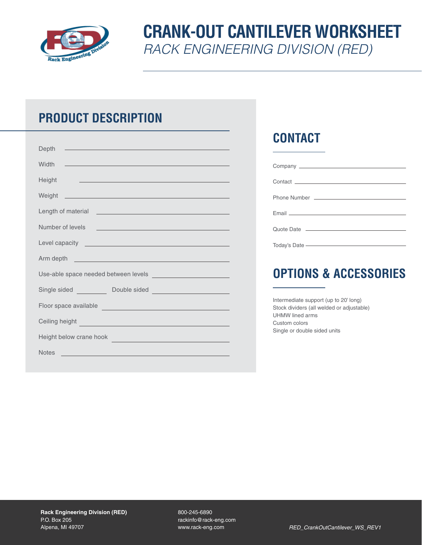

# **CRANK-OUT CANTILEVER WORKSHEET** *RACK ENGINEERING DIVISION (RED)*

## **PRODUCT DESCRIPTION**

| <u> 1989 - Johann Barn, mars eta bat erroman erroman erroman erroman erroman erroman erroman erroman erroman err</u><br>Depth                                                                                                        |  |  |  |  |  |  |  |
|--------------------------------------------------------------------------------------------------------------------------------------------------------------------------------------------------------------------------------------|--|--|--|--|--|--|--|
| Width<br><u>ja saan ka samaan samaan samaan samaan samaan samaan samaan samaan samaan samaan samaan samaan samaan samaan s</u>                                                                                                       |  |  |  |  |  |  |  |
| Height<br><u> 1989 - Andrea Stadt Britain, amerikansk politik (d. 1989)</u>                                                                                                                                                          |  |  |  |  |  |  |  |
|                                                                                                                                                                                                                                      |  |  |  |  |  |  |  |
| Length of material <u>example and the set of the set of the set of the set of the set of the set of the set of the set of the set of the set of the set of the set of the set of the set of the set of the set of the set of the</u> |  |  |  |  |  |  |  |
| Number of levels<br><u>and the second control of the second control of the second control of the second control of the second control of</u>                                                                                         |  |  |  |  |  |  |  |
| Level capacity <u>experience and the series of the series of the series of the series of the series of the series of the series of the series of the series of the series of the series of the series of the series of the serie</u> |  |  |  |  |  |  |  |
| Arm depth <b>explorers</b> and the contract of the contract of the contract of the contract of the contract of the contract of the contract of the contract of the contract of the contract of the contract of the contract of the   |  |  |  |  |  |  |  |
|                                                                                                                                                                                                                                      |  |  |  |  |  |  |  |
|                                                                                                                                                                                                                                      |  |  |  |  |  |  |  |
| Floor space available expansion of the state of the state of the state of the state of the state of the state of the state of the state of the state of the state of the state of the state of the state of the state of the s       |  |  |  |  |  |  |  |
| Ceiling height <b>Community</b> and the community of the community of the community of the community of the community of the community of the community of the community of the community of the community of the community of the   |  |  |  |  |  |  |  |
| Height below crane hook                                                                                                                                                                                                              |  |  |  |  |  |  |  |
| <u> 1989 - Johann Stein, marwolaethau a bhann an t-Amhainn an t-Amhainn an t-Amhainn an t-Amhainn an t-Amhainn an</u><br><b>Notes</b>                                                                                                |  |  |  |  |  |  |  |

### **CONTACT**

| Quote Date <u>__________________________</u>                                                                                                                                                                                  |
|-------------------------------------------------------------------------------------------------------------------------------------------------------------------------------------------------------------------------------|
| Today's Date - The Content of the Content of the Content of the Content of the Content of the Content of the Content of the Content of the Content of the Content of the Content of the Content of the Content of the Content |
|                                                                                                                                                                                                                               |

# **OPTIONS & ACCESSORIES**

Intermediate support (up to 20' long) Stock dividers (all welded or adjustable) UHMW lined arms Custom colors Single or double sided units

800-245-6890 rackinfo@rack-eng.com www.rack-eng.com